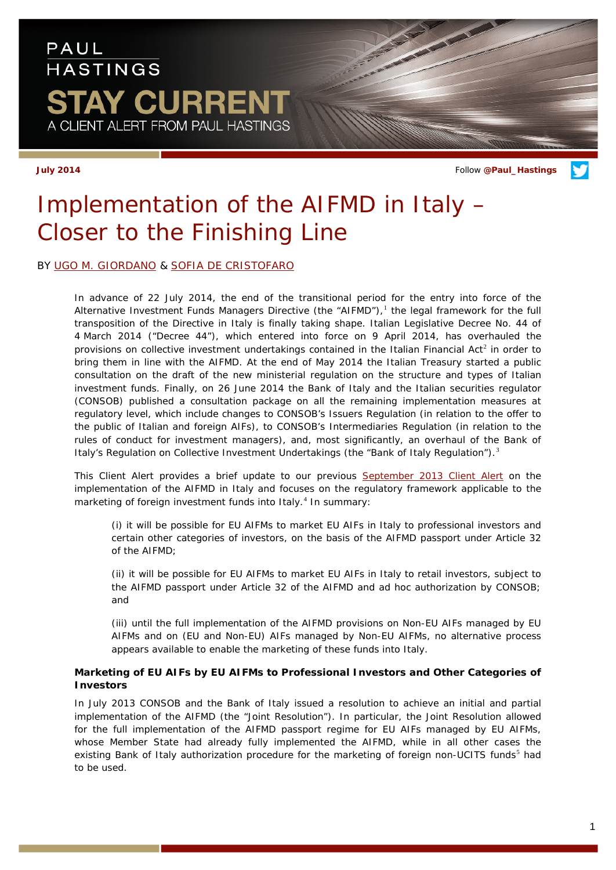### PAUL **HASTINGS AY CURRENT** A CLIENT ALERT FROM PAUL HASTINGS

**July 2014** Follow **[@Paul\\_Hastings](http://twitter.com/Paul_Hastings)**

# *Implementation of the AIFMD in Italy – Closer to the Finishing Line*

### BY [UGO M. GIORDANO](http://www.paulhastings.com/Professionals/details/ugogiordano/) & [SOFIA DE CRISTOFARO](http://www.paulhastings.com/Professionals/details/sofiadecristofaro/)

In advance of 22 July 2014, the end of the transitional period for the entry into force of the Alternative Investment Funds Managers Directive (the "AIFMD"), $<sup>1</sup>$  $<sup>1</sup>$  $<sup>1</sup>$  the legal framework for the full</sup> transposition of the Directive in Italy is finally taking shape. Italian Legislative Decree No. 44 of 4 March 2014 ("Decree 44"), which entered into force on 9 April 2014, has overhauled the provisions on collective investment undertakings contained in the Italian Financial Act<sup>[2](#page-4-1)</sup> in order to bring them in line with the AIFMD. At the end of May 2014 the Italian Treasury started a public consultation on the draft of the new ministerial regulation on the structure and types of Italian investment funds. Finally, on 26 June 2014 the Bank of Italy and the Italian securities regulator (CONSOB) published a consultation package on all the remaining implementation measures at regulatory level, which include changes to CONSOB's Issuers Regulation (in relation to the offer to the public of Italian and foreign AIFs), to CONSOB's Intermediaries Regulation (in relation to the rules of conduct for investment managers), and, most significantly, an overhaul of the Bank of Italy's Regulation on Collective Investment Undertakings (the "Bank of Italy Regulation").<sup>[3](#page-4-2)</sup>

This Client Alert provides a brief update to our previous [September 2013 Client Alert](http://www.paulhastings.com/docs/default-source/PDFs/stay-current_implementationofaifmdinitaly.pdf) on the implementation of the AIFMD in Italy and focuses on the regulatory framework applicable to the marketing of foreign investment funds into Italy.<sup>[4](#page-4-3)</sup> In summary:

(i) it will be possible for EU AIFMs to market EU AIFs in Italy to professional investors and certain other categories of investors, on the basis of the AIFMD passport under Article 32 of the AIFMD;

(ii) it will be possible for EU AIFMs to market EU AIFs in Italy to retail investors, subject to the AIFMD passport under Article 32 of the AIFMD and *ad hoc* authorization by CONSOB; and

(iii) until the full implementation of the AIFMD provisions on Non-EU AIFs managed by EU AIFMs and on (EU and Non-EU) AIFs managed by Non-EU AIFMs, no alternative process appears available to enable the marketing of these funds into Italy.

#### *Marketing of EU AIFs by EU AIFMs to Professional Investors and Other Categories of Investors*

In July 2013 CONSOB and the Bank of Italy issued a resolution to achieve an initial and partial implementation of the AIFMD (the "Joint Resolution"). In particular, the Joint Resolution allowed for the full implementation of the AIFMD passport regime for EU AIFs managed by EU AIFMs, whose Member State had already fully implemented the AIFMD, while in all other cases the existing Bank of Italy authorization procedure for the marketing of foreign non-UCITS funds<sup>[5](#page-4-4)</sup> had to be used.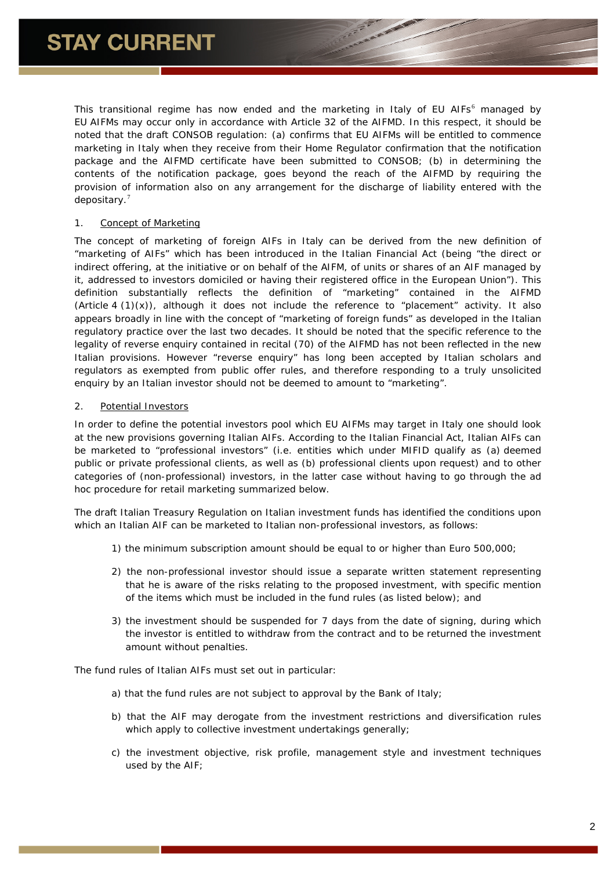This transitional regime has now ended and the marketing in Italy of EU AIFs<sup>[6](#page-4-5)</sup> managed by EU AIFMs may occur only in accordance with Article 32 of the AIFMD. In this respect, it should be noted that the draft CONSOB regulation: (a) confirms that EU AIFMs will be entitled to commence marketing in Italy when they receive from their Home Regulator confirmation that the notification package and the AIFMD certificate have been submitted to CONSOB; (b) in determining the contents of the notification package, goes beyond the reach of the AIFMD by requiring the provision of information also on any arrangement for the discharge of liability entered with the depositary.[7](#page-4-6)

#### 1. *Concept of Marketing*

The concept of marketing of foreign AIFs in Italy can be derived from the new definition of "marketing of AIFs" which has been introduced in the Italian Financial Act (being "the direct or indirect offering, at the initiative or on behalf of the AIFM, of units or shares of an AIF managed by it, addressed to investors domiciled or having their registered office in the European Union"). This definition substantially reflects the definition of "marketing" contained in the AIFMD (Article 4  $(1)(x)$ ), although it does not include the reference to "placement" activity. It also appears broadly in line with the concept of "marketing of foreign funds" as developed in the Italian regulatory practice over the last two decades. It should be noted that the specific reference to the legality of reverse enquiry contained in recital (70) of the AIFMD has not been reflected in the new Italian provisions. However "reverse enquiry" has long been accepted by Italian scholars and regulators as exempted from public offer rules, and therefore responding to a truly unsolicited enquiry by an Italian investor should not be deemed to amount to "marketing".

#### 2. *Potential Investors*

In order to define the potential investors pool which EU AIFMs may target in Italy one should look at the new provisions governing Italian AIFs. According to the Italian Financial Act, Italian AIFs can be marketed to "professional investors" (*i.e.* entities which under MIFID qualify as (a) deemed public or private professional clients, as well as (b) professional clients upon request) and to other categories of (non-professional) investors, in the latter case without having to go through the *ad hoc* procedure for retail marketing summarized below.

The draft Italian Treasury Regulation on Italian investment funds has identified the conditions upon which an Italian AIF can be marketed to Italian non-professional investors, as follows:

- 1) the minimum subscription amount should be equal to or higher than Euro 500,000;
- 2) the non-professional investor should issue a separate written statement representing that he is aware of the risks relating to the proposed investment, with specific mention of the items which must be included in the fund rules (as listed below); and
- 3) the investment should be suspended for 7 days from the date of signing, during which the investor is entitled to withdraw from the contract and to be returned the investment amount without penalties.

The fund rules of Italian AIFs must set out in particular:

- a) that the fund rules are not subject to approval by the Bank of Italy;
- b) that the AIF may derogate from the investment restrictions and diversification rules which apply to collective investment undertakings generally;
- c) the investment objective, risk profile, management style and investment techniques used by the AIF;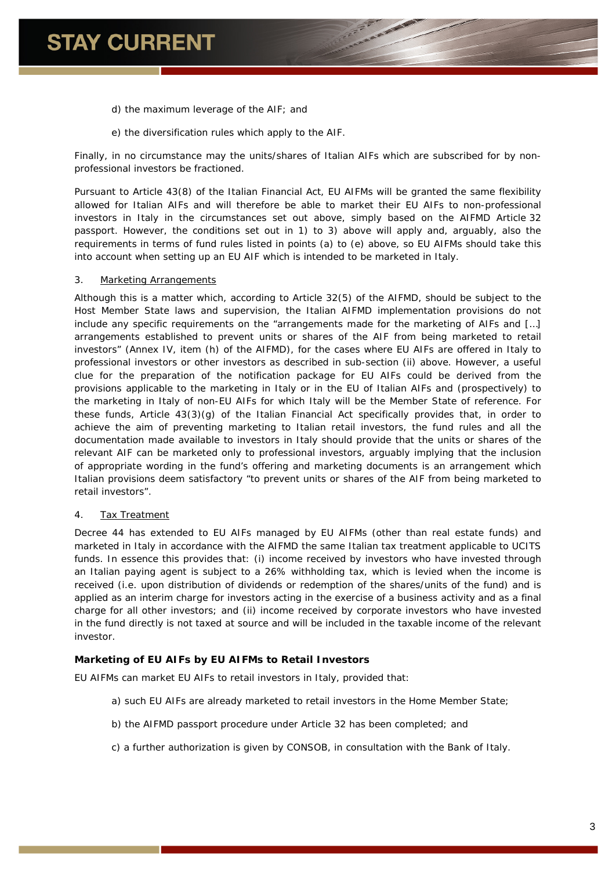- d) the maximum leverage of the AIF; and
- e) the diversification rules which apply to the AIF.

Finally, in no circumstance may the units/shares of Italian AIFs which are subscribed for by nonprofessional investors be fractioned.

Pursuant to Article 43(8) of the Italian Financial Act, EU AIFMs will be granted the same flexibility allowed for Italian AIFs and will therefore be able to market their EU AIFs to non-professional investors in Italy in the circumstances set out above, simply based on the AIFMD Article 32 passport. However, the conditions set out in 1) to 3) above will apply and, arguably, also the requirements in terms of fund rules listed in points (a) to (e) above, so EU AIFMs should take this into account when setting up an EU AIF which is intended to be marketed in Italy.

#### 3. *Marketing Arrangements*

Although this is a matter which, according to Article 32(5) of the AIFMD, should be subject to the Host Member State laws and supervision, the Italian AIFMD implementation provisions do not include any specific requirements on the "arrangements made for the marketing of AIFs and […] arrangements established to prevent units or shares of the AIF from being marketed to retail investors" (Annex IV, item (h) of the AIFMD), for the cases where EU AIFs are offered in Italy to professional investors or other investors as described in sub-section (ii) above. However, a useful clue for the preparation of the notification package for EU AIFs could be derived from the provisions applicable to the marketing in Italy or in the EU of Italian AIFs and (prospectively) to the marketing in Italy of non-EU AIFs for which Italy will be the Member State of reference. For these funds, Article 43(3)(g) of the Italian Financial Act specifically provides that, in order to achieve the aim of preventing marketing to Italian retail investors, the fund rules and all the documentation made available to investors in Italy should provide that the units or shares of the relevant AIF can be marketed only to professional investors, arguably implying that the inclusion of appropriate wording in the fund's offering and marketing documents is an arrangement which Italian provisions deem satisfactory "to prevent units or shares of the AIF from being marketed to retail investors".

#### 4. *Tax Treatment*

Decree 44 has extended to EU AIFs managed by EU AIFMs (other than real estate funds) and marketed in Italy in accordance with the AIFMD the same Italian tax treatment applicable to UCITS funds. In essence this provides that: (i) income received by investors who have invested through an Italian paying agent is subject to a 26% withholding tax, which is levied when the income is received (*i.e.* upon distribution of dividends or redemption of the shares/units of the fund) and is applied as an interim charge for investors acting in the exercise of a business activity and as a final charge for all other investors; and (ii) income received by corporate investors who have invested in the fund directly is not taxed at source and will be included in the taxable income of the relevant investor.

#### *Marketing of EU AIFs by EU AIFMs to Retail Investors*

EU AIFMs can market EU AIFs to retail investors in Italy, provided that:

- a) such EU AIFs are already marketed to retail investors in the Home Member State;
- b) the AIFMD passport procedure under Article 32 has been completed; and
- c) a further authorization is given by CONSOB, in consultation with the Bank of Italy.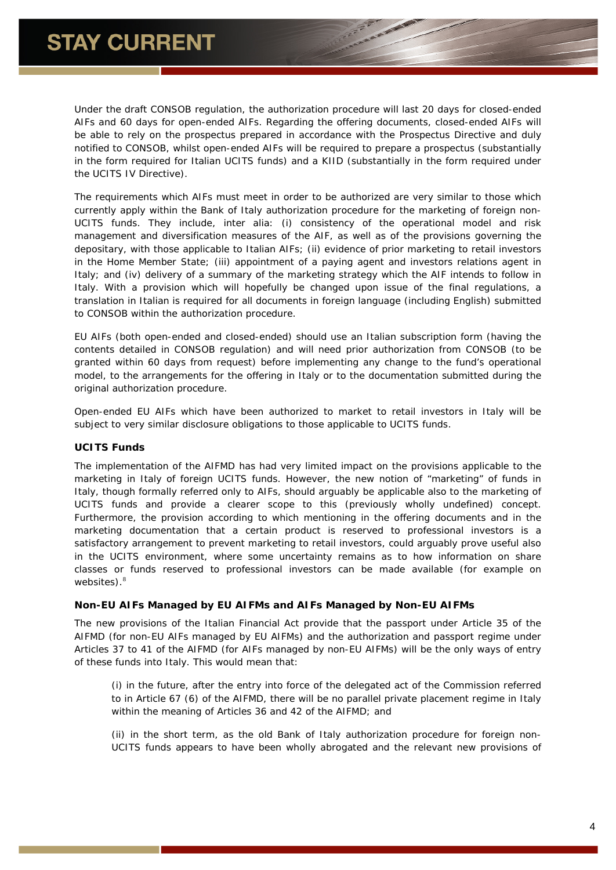Under the draft CONSOB regulation, the authorization procedure will last 20 days for closed-ended AIFs and 60 days for open-ended AIFs. Regarding the offering documents, closed-ended AIFs will be able to rely on the prospectus prepared in accordance with the Prospectus Directive and duly notified to CONSOB, whilst open-ended AIFs will be required to prepare a prospectus (substantially in the form required for Italian UCITS funds) and a KIID (substantially in the form required under the UCITS IV Directive).

The requirements which AIFs must meet in order to be authorized are very similar to those which currently apply within the Bank of Italy authorization procedure for the marketing of foreign non-UCITS funds. They include, *inter alia*: (i) consistency of the operational model and risk management and diversification measures of the AIF, as well as of the provisions governing the depositary, with those applicable to Italian AIFs; (ii) evidence of prior marketing to retail investors in the Home Member State; (iii) appointment of a paying agent and investors relations agent in Italy; and (iv) delivery of a summary of the marketing strategy which the AIF intends to follow in Italy. With a provision which will hopefully be changed upon issue of the final regulations, a translation in Italian is required for all documents in foreign language (including English) submitted to CONSOB within the authorization procedure.

EU AIFs (both open-ended and closed-ended) should use an Italian subscription form (having the contents detailed in CONSOB regulation) and will need prior authorization from CONSOB (to be granted within 60 days from request) before implementing any change to the fund's operational model, to the arrangements for the offering in Italy or to the documentation submitted during the original authorization procedure.

Open-ended EU AIFs which have been authorized to market to retail investors in Italy will be subject to very similar disclosure obligations to those applicable to UCITS funds.

#### *UCITS Funds*

The implementation of the AIFMD has had very limited impact on the provisions applicable to the marketing in Italy of foreign UCITS funds. However, the new notion of "marketing" of funds in Italy, though formally referred only to AIFs, should arguably be applicable also to the marketing of UCITS funds and provide a clearer scope to this (previously wholly undefined) concept. Furthermore, the provision according to which mentioning in the offering documents and in the marketing documentation that a certain product is reserved to professional investors is a satisfactory arrangement to prevent marketing to retail investors, could arguably prove useful also in the UCITS environment, where some uncertainty remains as to how information on share classes or funds reserved to professional investors can be made available (for example on websites).<sup>[8](#page-4-7)</sup>

#### *Non-EU AIFs Managed by EU AIFMs and AIFs Managed by Non-EU AIFMs*

The new provisions of the Italian Financial Act provide that the passport under Article 35 of the AIFMD (for non-EU AIFs managed by EU AIFMs) and the authorization and passport regime under Articles 37 to 41 of the AIFMD (for AIFs managed by non-EU AIFMs) will be the only ways of entry of these funds into Italy. This would mean that:

(i) in the future, after the entry into force of the delegated act of the Commission referred to in Article 67 (6) of the AIFMD, there will be no parallel private placement regime in Italy within the meaning of Articles 36 and 42 of the AIFMD; and

(ii) in the short term, as the old Bank of Italy authorization procedure for foreign non-UCITS funds appears to have been wholly abrogated and the relevant new provisions of